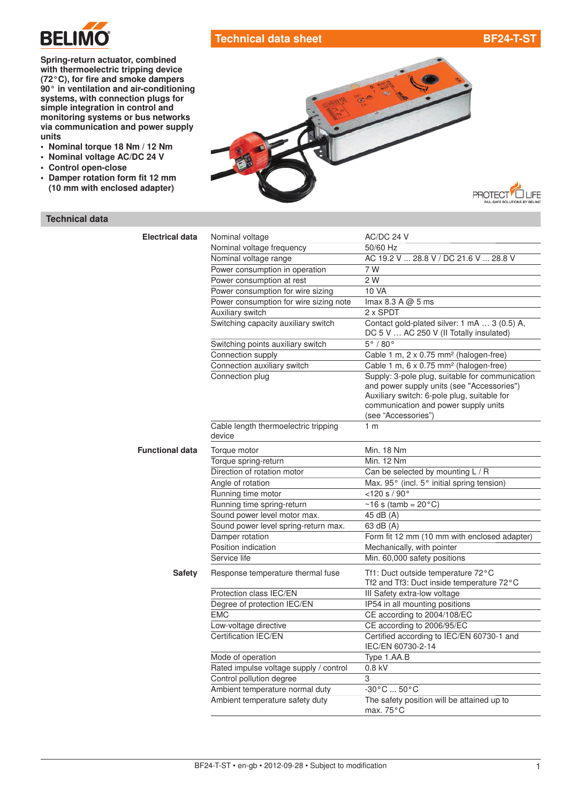

# Technical data sheet [BF24-T-ST](http://planetaklimata.com.ua/catalog/lineup/?goodsid=694&path=root-22-45-153-694)

Spring-return actuator, combined with thermoelectric tripping device (72°C), for fire and smoke dampers 90° in [ventilation](http://planetaklimata.com.ua/) and air-conditioning systems, with connection plugs for simple integration in control and monitoring systems or bus networks via communication and power supply units

- Nominal torque 18 Nm / 12 Nm
- Nominal voltage AC/DC 24 V
- Control open-close
- Damper rotation form fit 12 mm (10 mm with enclosed adapter)

# **PROTECT<sup>7</sup>Q LIFE**

## Technical data

| <b>Electrical data</b> | Nominal voltage                                | AC/DC 24 V                                                                                                                                                                                                  |
|------------------------|------------------------------------------------|-------------------------------------------------------------------------------------------------------------------------------------------------------------------------------------------------------------|
|                        | Nominal voltage frequency                      | 50/60 Hz                                                                                                                                                                                                    |
|                        | Nominal voltage range                          | AC 19.2 V  28.8 V / DC 21.6 V  28.8 V                                                                                                                                                                       |
|                        | Power consumption in operation                 | 7 W                                                                                                                                                                                                         |
|                        | Power consumption at rest                      | 2 W                                                                                                                                                                                                         |
|                        | Power consumption for wire sizing              | 10 VA                                                                                                                                                                                                       |
|                        | Power consumption for wire sizing note         | $\text{Imax } 8.3 \text{ A} \text{ @ } 5 \text{ ms}$                                                                                                                                                        |
|                        | Auxiliary switch                               | 2 x SPDT                                                                                                                                                                                                    |
|                        | Switching capacity auxiliary switch            | Contact gold-plated silver: 1 mA  3 (0.5) A,<br>DC 5 V  AC 250 V (II Totally insulated)                                                                                                                     |
|                        | Switching points auxiliary switch              | $5^\circ/80^\circ$                                                                                                                                                                                          |
|                        | Connection supply                              | Cable 1 m, 2 x 0.75 mm <sup>2</sup> (halogen-free)                                                                                                                                                          |
|                        | Connection auxiliary switch                    | Cable 1 m, 6 x 0.75 mm <sup>2</sup> (halogen-free)                                                                                                                                                          |
|                        | Connection plug                                | Supply: 3-pole plug, suitable for communication<br>and power supply units (see "Accessories")<br>Auxiliary switch: 6-pole plug, suitable for<br>communication and power supply units<br>(see "Accessories") |
|                        | Cable length thermoelectric tripping<br>device | 1 <sub>m</sub>                                                                                                                                                                                              |
| <b>Functional data</b> | Torque motor                                   | Min. 18 Nm                                                                                                                                                                                                  |
|                        | Torque spring-return                           | <b>Min. 12 Nm</b>                                                                                                                                                                                           |
|                        | Direction of rotation motor                    | Can be selected by mounting L / R                                                                                                                                                                           |
|                        | Angle of rotation                              | Max. 95° (incl. 5° initial spring tension)                                                                                                                                                                  |
|                        | Running time motor                             | < 120 s / 90°                                                                                                                                                                                               |
|                        | Running time spring-return                     | $~16$ s (tamb = 20 $^{\circ}$ C)                                                                                                                                                                            |
|                        | Sound power level motor max.                   | 45 dB (A)                                                                                                                                                                                                   |
|                        | Sound power level spring-return max.           | 63 dB (A)                                                                                                                                                                                                   |
|                        | Damper rotation                                | Form fit 12 mm (10 mm with enclosed adapter)                                                                                                                                                                |
|                        | Position indication                            | Mechanically, with pointer                                                                                                                                                                                  |
|                        | Service life                                   | Min. 60,000 safety positions                                                                                                                                                                                |
| <b>Safety</b>          | Response temperature thermal fuse              | Tf1: Duct outside temperature 72°C<br>Tf2 and Tf3: Duct inside temperature 72°C                                                                                                                             |
|                        | Protection class IEC/EN                        | III Safety extra-low voltage                                                                                                                                                                                |
|                        | Degree of protection IEC/EN                    | IP54 in all mounting positions                                                                                                                                                                              |
|                        | <b>EMC</b>                                     | CE according to 2004/108/EC                                                                                                                                                                                 |
|                        | Low-voltage directive                          | CE according to 2006/95/EC                                                                                                                                                                                  |
|                        | Certification IEC/EN                           | Certified according to IEC/EN 60730-1 and<br>IEC/EN 60730-2-14                                                                                                                                              |
|                        | Mode of operation                              | Type 1.AA.B                                                                                                                                                                                                 |
|                        | Rated impulse voltage supply / control         | $0.8$ kV                                                                                                                                                                                                    |
|                        | Control pollution degree                       | 3                                                                                                                                                                                                           |
|                        | Ambient temperature normal duty                | $-30^{\circ}$ C $50^{\circ}$ C                                                                                                                                                                              |
|                        | Ambient temperature safety duty                | The safety position will be attained up to<br>max. $75^{\circ}$ C                                                                                                                                           |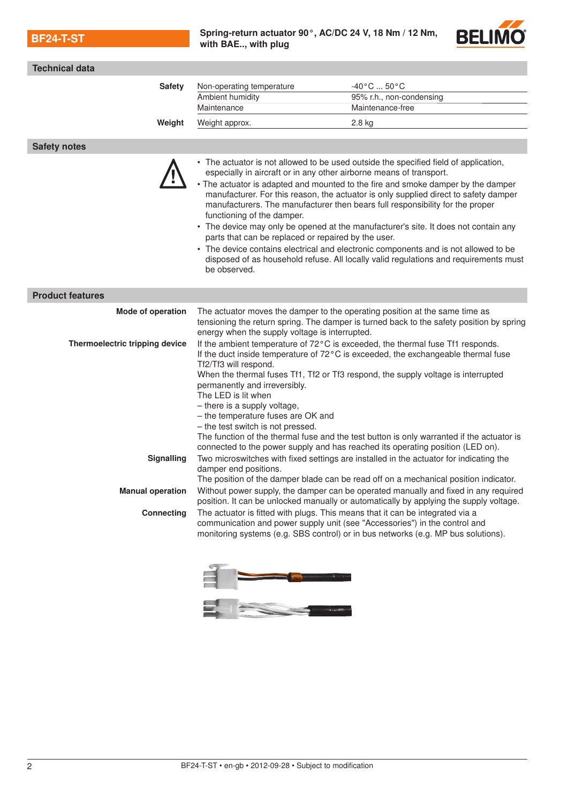$BF24-T-ST$  [Spring-return actuator](http://planetaklimata.com.ua/katalog-proizvoditeli/Belimo/) 90°, AC/DC 24 V, 18 Nm / 12 Nm, with BAE.., with plug



| Technical data                                                                                                                                                                                                                                                                                                                                                                                                                                                                                                                                                                                                                                                        |                                                                                                                                                                                                                                                                                                                                                                                                                                                                                                                                                                                                                                                                                                                                                                                                     |                                                                                                                                                                                |
|-----------------------------------------------------------------------------------------------------------------------------------------------------------------------------------------------------------------------------------------------------------------------------------------------------------------------------------------------------------------------------------------------------------------------------------------------------------------------------------------------------------------------------------------------------------------------------------------------------------------------------------------------------------------------|-----------------------------------------------------------------------------------------------------------------------------------------------------------------------------------------------------------------------------------------------------------------------------------------------------------------------------------------------------------------------------------------------------------------------------------------------------------------------------------------------------------------------------------------------------------------------------------------------------------------------------------------------------------------------------------------------------------------------------------------------------------------------------------------------------|--------------------------------------------------------------------------------------------------------------------------------------------------------------------------------|
| <b>Safety</b>                                                                                                                                                                                                                                                                                                                                                                                                                                                                                                                                                                                                                                                         | Non-operating temperature                                                                                                                                                                                                                                                                                                                                                                                                                                                                                                                                                                                                                                                                                                                                                                           | $-40\degree$ C  50 $\degree$ C                                                                                                                                                 |
|                                                                                                                                                                                                                                                                                                                                                                                                                                                                                                                                                                                                                                                                       | Ambient humidity                                                                                                                                                                                                                                                                                                                                                                                                                                                                                                                                                                                                                                                                                                                                                                                    | 95% r.h., non-condensing                                                                                                                                                       |
|                                                                                                                                                                                                                                                                                                                                                                                                                                                                                                                                                                                                                                                                       | Maintenance                                                                                                                                                                                                                                                                                                                                                                                                                                                                                                                                                                                                                                                                                                                                                                                         | Maintenance-free                                                                                                                                                               |
| Weight                                                                                                                                                                                                                                                                                                                                                                                                                                                                                                                                                                                                                                                                | Weight approx.                                                                                                                                                                                                                                                                                                                                                                                                                                                                                                                                                                                                                                                                                                                                                                                      | $2.8$ kg                                                                                                                                                                       |
|                                                                                                                                                                                                                                                                                                                                                                                                                                                                                                                                                                                                                                                                       |                                                                                                                                                                                                                                                                                                                                                                                                                                                                                                                                                                                                                                                                                                                                                                                                     |                                                                                                                                                                                |
| <b>Safety notes</b>                                                                                                                                                                                                                                                                                                                                                                                                                                                                                                                                                                                                                                                   |                                                                                                                                                                                                                                                                                                                                                                                                                                                                                                                                                                                                                                                                                                                                                                                                     |                                                                                                                                                                                |
|                                                                                                                                                                                                                                                                                                                                                                                                                                                                                                                                                                                                                                                                       | • The actuator is not allowed to be used outside the specified field of application,<br>especially in aircraft or in any other airborne means of transport.<br>• The actuator is adapted and mounted to the fire and smoke damper by the damper<br>manufacturer. For this reason, the actuator is only supplied direct to safety damper<br>manufacturers. The manufacturer then bears full responsibility for the proper<br>functioning of the damper.<br>• The device may only be opened at the manufacturer's site. It does not contain any<br>parts that can be replaced or repaired by the user.<br>• The device contains electrical and electronic components and is not allowed to be<br>disposed of as household refuse. All locally valid regulations and requirements must<br>be observed. |                                                                                                                                                                                |
| <b>Product features</b>                                                                                                                                                                                                                                                                                                                                                                                                                                                                                                                                                                                                                                               |                                                                                                                                                                                                                                                                                                                                                                                                                                                                                                                                                                                                                                                                                                                                                                                                     |                                                                                                                                                                                |
| Mode of operation                                                                                                                                                                                                                                                                                                                                                                                                                                                                                                                                                                                                                                                     | The actuator moves the damper to the operating position at the same time as<br>energy when the supply voltage is interrupted.                                                                                                                                                                                                                                                                                                                                                                                                                                                                                                                                                                                                                                                                       | tensioning the return spring. The damper is turned back to the safety position by spring                                                                                       |
| Thermoelectric tripping device<br>If the ambient temperature of 72°C is exceeded, the thermal fuse Tf1 responds.<br>If the duct inside temperature of 72°C is exceeded, the exchangeable thermal fuse<br>Tf2/Tf3 will respond.<br>When the thermal fuses Tf1, Tf2 or Tf3 respond, the supply voltage is interrupted<br>permanently and irreversibly.<br>The LED is lit when<br>- there is a supply voltage,<br>- the temperature fuses are OK and<br>- the test switch is not pressed.<br>The function of the thermal fuse and the test button is only warranted if the actuator is<br>connected to the power supply and has reached its operating position (LED on). |                                                                                                                                                                                                                                                                                                                                                                                                                                                                                                                                                                                                                                                                                                                                                                                                     |                                                                                                                                                                                |
| <b>Signalling</b>                                                                                                                                                                                                                                                                                                                                                                                                                                                                                                                                                                                                                                                     | damper end positions.                                                                                                                                                                                                                                                                                                                                                                                                                                                                                                                                                                                                                                                                                                                                                                               | Two microswitches with fixed settings are installed in the actuator for indicating the<br>The position of the damper blade can be read off on a mechanical position indicator. |
| <b>Manual operation</b>                                                                                                                                                                                                                                                                                                                                                                                                                                                                                                                                                                                                                                               |                                                                                                                                                                                                                                                                                                                                                                                                                                                                                                                                                                                                                                                                                                                                                                                                     | Without power supply, the damper can be operated manually and fixed in any required<br>position. It can be unlocked manually or automatically by applying the supply voltage.  |
| <b>Connecting</b>                                                                                                                                                                                                                                                                                                                                                                                                                                                                                                                                                                                                                                                     | The actuator is fitted with plugs. This means that it can be integrated via a<br>communication and power supply unit (see "Accessories") in the control and                                                                                                                                                                                                                                                                                                                                                                                                                                                                                                                                                                                                                                         | monitoring systems (e.g. SBS control) or in bus networks (e.g. MP bus solutions).                                                                                              |

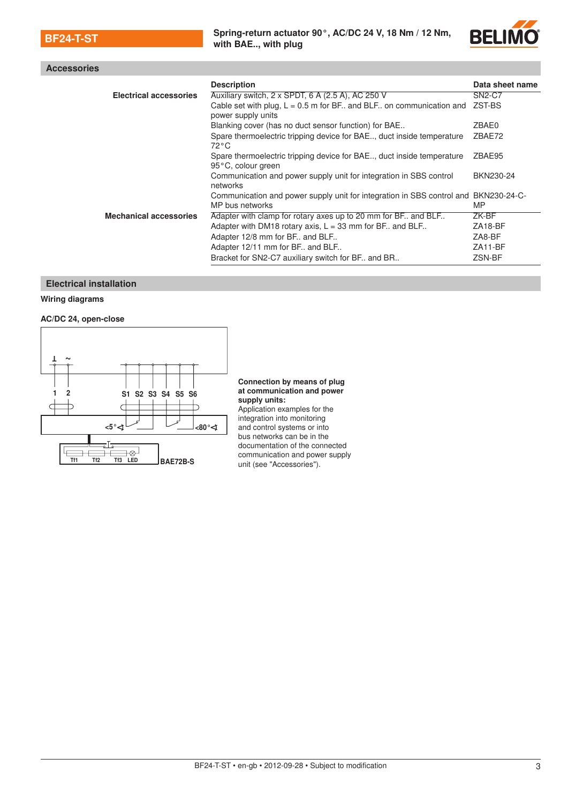

# Accessories

|                               | <b>Description</b>                                                                                     | Data sheet name |
|-------------------------------|--------------------------------------------------------------------------------------------------------|-----------------|
| <b>Electrical accessories</b> | Auxiliary switch, 2 x SPDT, 6 A (2.5 A), AC 250 V                                                      | <b>SN2-C7</b>   |
|                               | Cable set with plug, $L = 0.5$ m for BF and BLF on communication and<br>power supply units             | ZST-BS          |
|                               | Blanking cover (has no duct sensor function) for BAE                                                   | ZBAE0           |
|                               | Spare thermoelectric tripping device for BAE, duct inside temperature<br>$72^{\circ}$ C                | ZBAE72          |
|                               | Spare thermoelectric tripping device for BAE duct inside temperature<br>95°C, colour green             | ZBAE95          |
|                               | Communication and power supply unit for integration in SBS control<br>networks                         | BKN230-24       |
|                               | Communication and power supply unit for integration in SBS control and BKN230-24-C-<br>MP bus networks | MP              |
| <b>Mechanical accessories</b> | Adapter with clamp for rotary axes up to 20 mm for BF and BLF                                          | ZK-BF           |
|                               | Adapter with DM18 rotary axis, $L = 33$ mm for BF. and BLF.                                            | ZA18-BF         |
|                               | Adapter 12/8 mm for BF and BLF                                                                         | ZA8-BF          |
|                               | Adapter 12/11 mm for BF and BLF                                                                        | ZA11-BF         |
|                               | Bracket for SN2-C7 auxiliary switch for BF. and BR.                                                    | ZSN-BF          |

### Electrical installation

### Wiring diagrams

### AC/DC 24, open-close



### Connection by means of plug at communication and power supply units:

Application examples for the integration into monitoring and control systems or into bus networks can be in the documentation of the connected communication and power supply unit (see "Accessories").